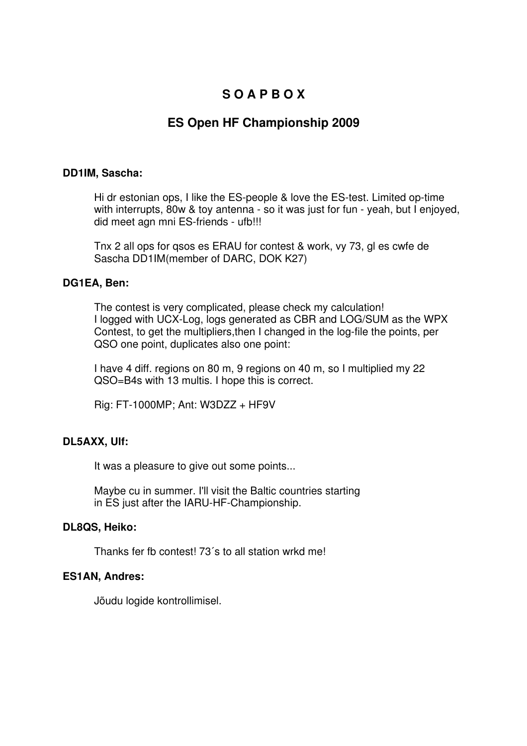# **S O A P B O X**

# **ES Open HF Championship 2009**

### **DD1IM, Sascha:**

Hi dr estonian ops, I like the ES-people & love the ES-test. Limited op-time with interrupts, 80w & toy antenna - so it was just for fun - yeah, but I enjoyed, did meet agn mni ES-friends - ufb!!!

Tnx 2 all ops for qsos es ERAU for contest & work, vy 73, gl es cwfe de Sascha DD1IM(member of DARC, DOK K27)

# **DG1EA, Ben:**

The contest is very complicated, please check my calculation! I logged with UCX-Log, logs generated as CBR and LOG/SUM as the WPX Contest, to get the multipliers,then I changed in the log-file the points, per QSO one point, duplicates also one point:

I have 4 diff. regions on 80 m, 9 regions on 40 m, so I multiplied my 22 QSO=B4s with 13 multis. I hope this is correct.

Rig: FT-1000MP; Ant: W3DZZ + HF9V

# **DL5AXX, Ulf:**

It was a pleasure to give out some points...

Maybe cu in summer. I'll visit the Baltic countries starting in ES just after the IARU-HF-Championship.

#### **DL8QS, Heiko:**

Thanks fer fb contest! 73´s to all station wrkd me!

# **ES1AN, Andres:**

Jõudu logide kontrollimisel.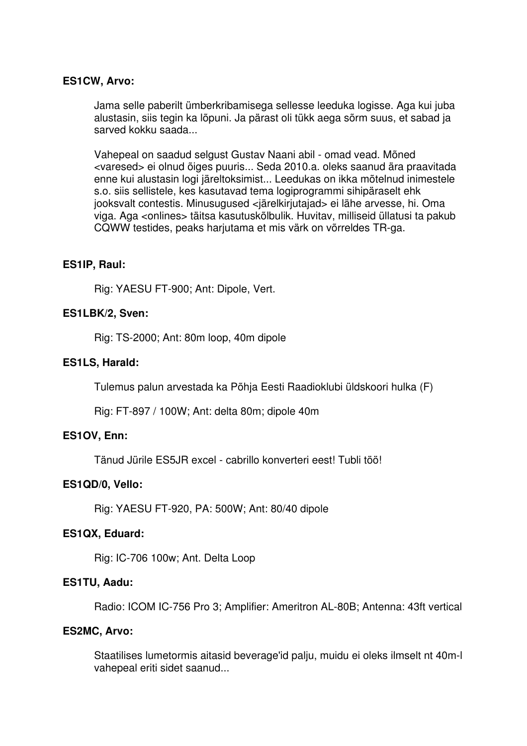### **ES1CW, Arvo:**

Jama selle paberilt ümberkribamisega sellesse leeduka logisse. Aga kui juba alustasin, siis tegin ka lõpuni. Ja pärast oli tükk aega sõrm suus, et sabad ja sarved kokku saada...

Vahepeal on saadud selgust Gustav Naani abil - omad vead. Mõned <varesed> ei olnud õiges puuris... Seda 2010.a. oleks saanud ära praavitada enne kui alustasin logi järeltoksimist... Leedukas on ikka mõtelnud inimestele s.o. siis sellistele, kes kasutavad tema logiprogrammi sihipäraselt ehk jooksvalt contestis. Minusugused <järelkirjutajad> ei lähe arvesse, hi. Oma viga. Aga <onlines> täitsa kasutuskõlbulik. Huvitav, milliseid üllatusi ta pakub CQWW testides, peaks harjutama et mis värk on võrreldes TR-ga.

#### **ES1IP, Raul:**

Rig: YAESU FT-900; Ant: Dipole, Vert.

### **ES1LBK/2, Sven:**

Rig: TS-2000; Ant: 80m loop, 40m dipole

### **ES1LS, Harald:**

Tulemus palun arvestada ka Põhja Eesti Raadioklubi üldskoori hulka (F)

Rig: FT-897 / 100W; Ant: delta 80m; dipole 40m

#### **ES1OV, Enn:**

Tänud Jürile ES5JR excel - cabrillo konverteri eest! Tubli töö!

#### **ES1QD/0, Vello:**

Rig: YAESU FT-920, PA: 500W; Ant: 80/40 dipole

#### **ES1QX, Eduard:**

Rig: IC-706 100w; Ant. Delta Loop

#### **ES1TU, Aadu:**

Radio: ICOM IC-756 Pro 3; Amplifier: Ameritron AL-80B; Antenna: 43ft vertical

### **ES2MC, Arvo:**

Staatilises lumetormis aitasid beverage'id palju, muidu ei oleks ilmselt nt 40m-l vahepeal eriti sidet saanud...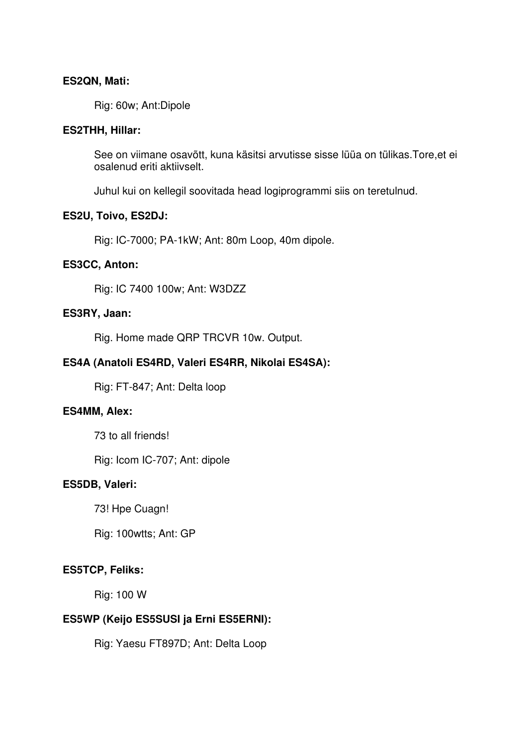### **ES2QN, Mati:**

Rig: 60w; Ant:Dipole

### **ES2THH, Hillar:**

See on viimane osavõtt, kuna käsitsi arvutisse sisse lüüa on tülikas.Tore,et ei osalenud eriti aktiivselt.

Juhul kui on kellegil soovitada head logiprogrammi siis on teretulnud.

### **ES2U, Toivo, ES2DJ:**

Rig: IC-7000; PA-1kW; Ant: 80m Loop, 40m dipole.

### **ES3CC, Anton:**

Rig: IC 7400 100w; Ant: W3DZZ

### **ES3RY, Jaan:**

Rig. Home made QRP TRCVR 10w. Output.

# **ES4A (Anatoli ES4RD, Valeri ES4RR, Nikolai ES4SA):**

Rig: FT-847; Ant: Delta loop

#### **ES4MM, Alex:**

73 to all friends!

Rig: Icom IC-707; Ant: dipole

#### **ES5DB, Valeri:**

73! Hpe Cuagn!

Rig: 100wtts; Ant: GP

# **ES5TCP, Feliks:**

Rig: 100 W

# **ES5WP (Keijo ES5SUSI ja Erni ES5ERNI):**

Rig: Yaesu FT897D; Ant: Delta Loop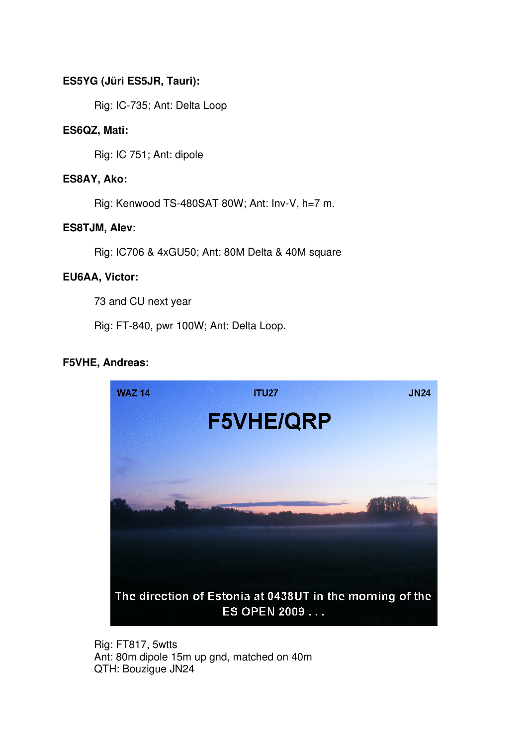# **ES5YG (Jüri ES5JR, Tauri):**

Rig: IC-735; Ant: Delta Loop

# **ES6QZ, Mati:**

Rig: IC 751; Ant: dipole

# **ES8AY, Ako:**

Rig: Kenwood TS-480SAT 80W; Ant: Inv-V, h=7 m.

# **ES8TJM, Alev:**

Rig: IC706 & 4xGU50; Ant: 80M Delta & 40M square

# **EU6AA, Victor:**

73 and CU next year

Rig: FT-840, pwr 100W; Ant: Delta Loop.

# **F5VHE, Andreas:**



Rig: FT817, 5wtts Ant: 80m dipole 15m up gnd, matched on 40m QTH: Bouzigue JN24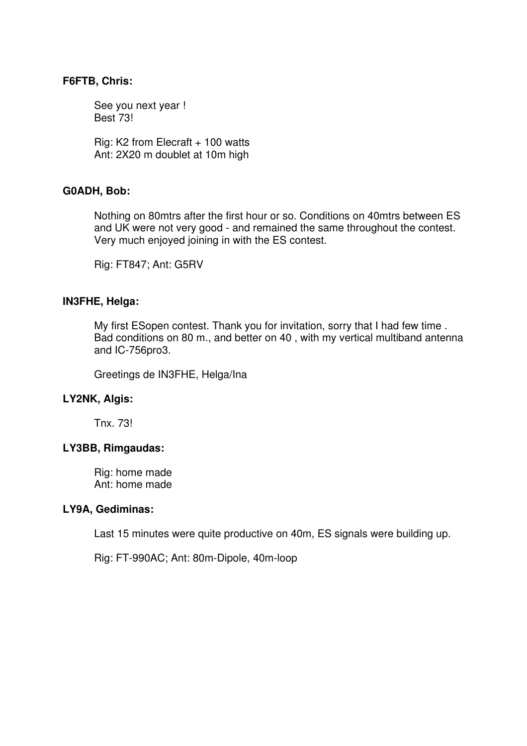### **F6FTB, Chris:**

See you next year ! Best 73!

Rig: K2 from Elecraft + 100 watts Ant: 2X20 m doublet at 10m high

### **G0ADH, Bob:**

Nothing on 80mtrs after the first hour or so. Conditions on 40mtrs between ES and UK were not very good - and remained the same throughout the contest. Very much enjoyed joining in with the ES contest.

Rig: FT847; Ant: G5RV

#### **IN3FHE, Helga:**

My first ESopen contest. Thank you for invitation, sorry that I had few time . Bad conditions on 80 m., and better on 40 , with my vertical multiband antenna and IC-756pro3.

Greetings de IN3FHE, Helga/Ina

#### **LY2NK, Algis:**

Tnx. 73!

#### **LY3BB, Rimgaudas:**

Rig: home made Ant: home made

#### **LY9A, Gediminas:**

Last 15 minutes were quite productive on 40m, ES signals were building up.

Rig: FT-990AC; Ant: 80m-Dipole, 40m-loop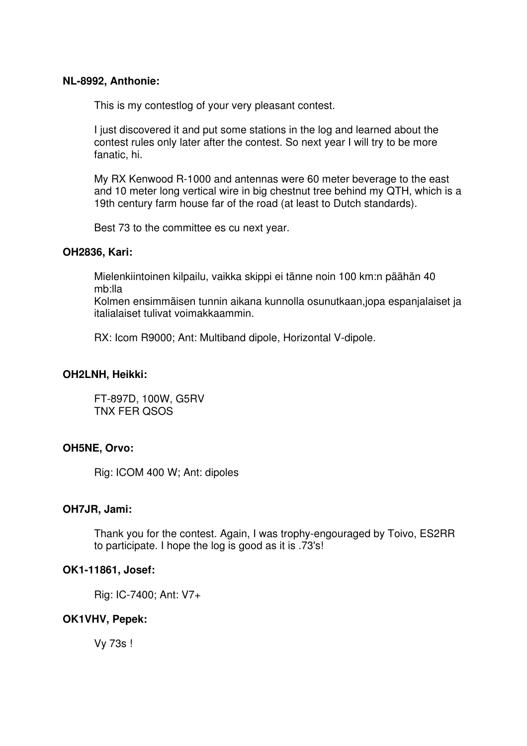### **NL-8992, Anthonie:**

This is my contestlog of your very pleasant contest.

I just discovered it and put some stations in the log and learned about the contest rules only later after the contest. So next year I will try to be more fanatic, hi.

My RX Kenwood R-1000 and antennas were 60 meter beverage to the east and 10 meter long vertical wire in big chestnut tree behind my QTH, which is a 19th century farm house far of the road (at least to Dutch standards).

Best 73 to the committee es cu next year.

### **OH2836, Kari:**

Mielenkiintoinen kilpailu, vaikka skippi ei tänne noin 100 km:n päähän 40 mb:lla

Kolmen ensimmäisen tunnin aikana kunnolla osunutkaan,jopa espanjalaiset ja italialaiset tulivat voimakkaammin.

RX: Icom R9000; Ant: Multiband dipole, Horizontal V-dipole.

# **OH2LNH, Heikki:**

FT-897D, 100W, G5RV TNX FER QSOS

# **OH5NE, Orvo:**

Rig: ICOM 400 W; Ant: dipoles

# **OH7JR, Jami:**

Thank you for the contest. Again, I was trophy-engouraged by Toivo, ES2RR to participate. I hope the log is good as it is .73's!

#### **OK1-11861, Josef:**

Rig: IC-7400; Ant: V7+

# **OK1VHV, Pepek:**

Vy 73s !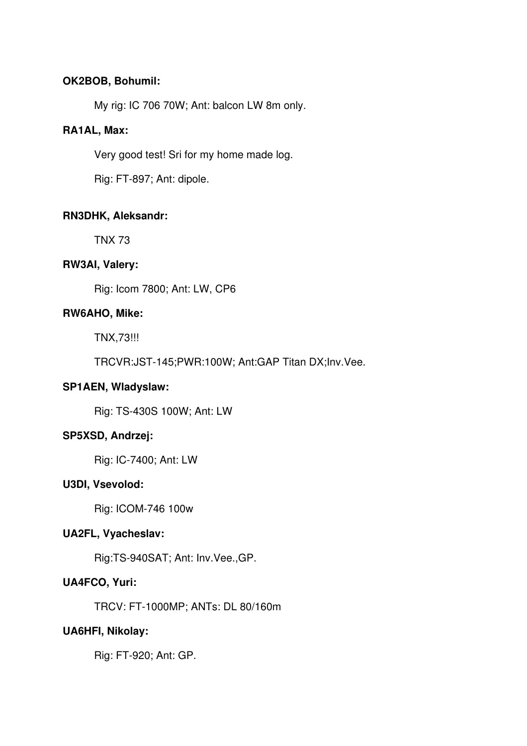# **OK2BOB, Bohumil:**

My rig: IC 706 70W; Ant: balcon LW 8m only.

# **RA1AL, Max:**

Very good test! Sri for my home made log.

Rig: FT-897; Ant: dipole.

# **RN3DHK, Aleksandr:**

TNX 73

# **RW3AI, Valery:**

Rig: Icom 7800; Ant: LW, CP6

# **RW6AHO, Mike:**

TNX,73!!!

TRCVR:JST-145;PWR:100W; Ant:GAP Titan DX;Inv.Vee.

# **SP1AEN, Wladyslaw:**

Rig: TS-430S 100W; Ant: LW

# **SP5XSD, Andrzej:**

Rig: IC-7400; Ant: LW

# **U3DI, Vsevolod:**

Rig: ICOM-746 100w

# **UA2FL, Vyacheslav:**

Rig:TS-940SAT; Ant: Inv.Vee.,GP.

# **UA4FCO, Yuri:**

TRCV: FT-1000MP; ANTs: DL 80/160m

# **UA6HFI, Nikolay:**

Rig: FT-920; Ant: GP.